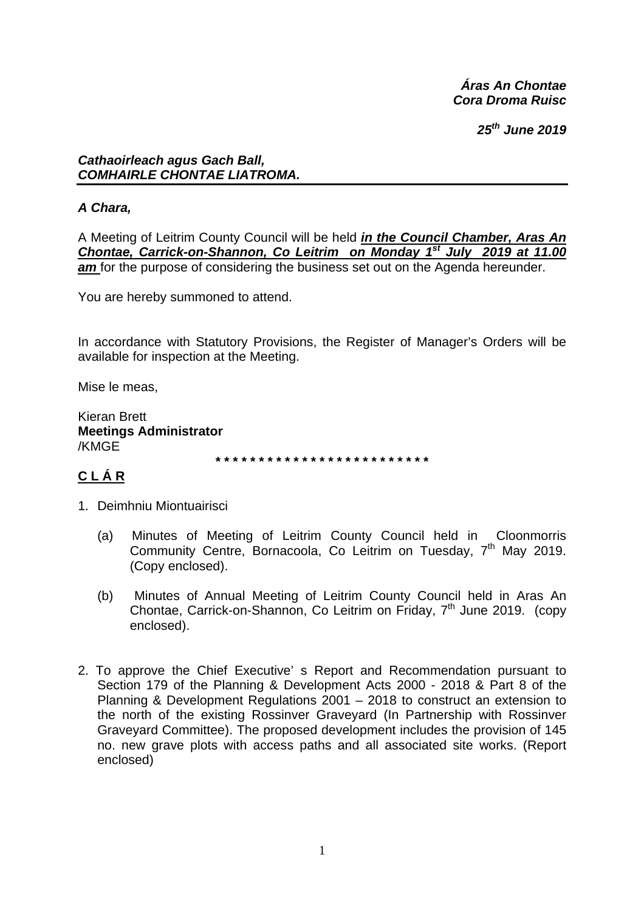Áras An Chontae Cora Droma Ruisc

 $25<sup>th</sup>$  June 2019

#### **Cathaoirleach agus Gach Ball,** COMHAIRLE CHONTAE LIATROMA.

# A Chara,

A Meeting of Leitrim County Council will be held in the Council Chamber, Aras An Chontae, Carrick-on-Shannon, Co Leitrim on Monday 1<sup>st</sup> July 2019 at 11.00 am for the purpose of considering the business set out on the Agenda hereunder.

You are hereby summoned to attend.

In accordance with Statutory Provisions, the Register of Manager's Orders will be available for inspection at the Meeting.

Mise le meas.

Kieran Brett **Meetings Administrator** /KMGE

# CLÁR

- 1. Deimhniu Miontuairisci
	- Minutes of Meeting of Leitrim County Council held in Cloonmorris  $(a)$ Community Centre, Bornacoola, Co Leitrim on Tuesday, 7<sup>th</sup> May 2019. (Copy enclosed).
	- Minutes of Annual Meeting of Leitrim County Council held in Aras An  $(b)$ Chontae, Carrick-on-Shannon, Co Leitrim on Friday, 7<sup>th</sup> June 2019. (copy enclosed).
- 2. To approve the Chief Executive's Report and Recommendation pursuant to Section 179 of the Planning & Development Acts 2000 - 2018 & Part 8 of the Planning & Development Regulations  $2001 - 2018$  to construct an extension to the north of the existing Rossinver Graveyard (In Partnership with Rossinver Graveyard Committee). The proposed development includes the provision of 145 no. new grave plots with access paths and all associated site works. (Report enclosed)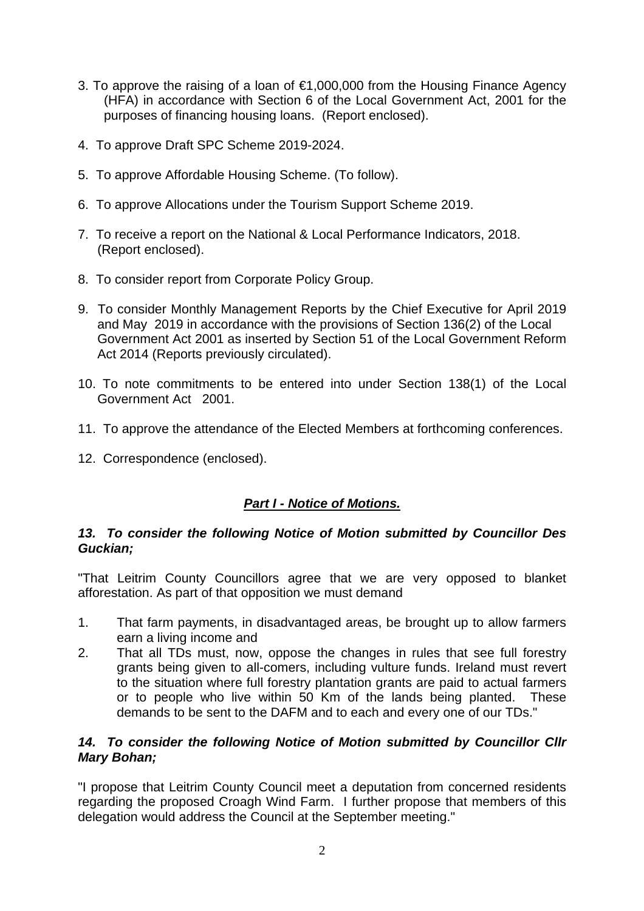- 3. To approve the raising of a loan of €1,000,000 from the Housing Finance Agency (HFA) in accordance with Section 6 of the Local Government Act, 2001 for the purposes of financing housing loans. (Report enclosed).
- 4. To approve Draft SPC Scheme 2019-2024.
- 5. To approve Affordable Housing Scheme. (To follow).
- 6. To approve Allocations under the Tourism Support Scheme 2019.
- 7. To receive a report on the National & Local Performance Indicators, 2018. (Report enclosed).
- 8. To consider report from Corporate Policy Group.
- 9. To consider Monthly Management Reports by the Chief Executive for April 2019 and May 2019 in accordance with the provisions of Section 136(2) of the Local Government Act 2001 as inserted by Section 51 of the Local Government Reform Act 2014 (Reports previously circulated).
- 10. To note commitments to be entered into under Section 138(1) of the Local Government Act 2001.
- 11. To approve the attendance of the Elected Members at forthcoming conferences.
- 12. Correspondence (enclosed).

# *Part I - Notice of Motions.*

#### *13. To consider the following Notice of Motion submitted by Councillor Des Guckian;*

"That Leitrim County Councillors agree that we are very opposed to blanket afforestation. As part of that opposition we must demand

- 1. That farm payments, in disadvantaged areas, be brought up to allow farmers earn a living income and
- 2. That all TDs must, now, oppose the changes in rules that see full forestry grants being given to all-comers, including vulture funds. Ireland must revert to the situation where full forestry plantation grants are paid to actual farmers or to people who live within 50 Km of the lands being planted. These demands to be sent to the DAFM and to each and every one of our TDs."

### *14. To consider the following Notice of Motion submitted by Councillor Cllr Mary Bohan;*

"I propose that Leitrim County Council meet a deputation from concerned residents regarding the proposed Croagh Wind Farm. I further propose that members of this delegation would address the Council at the September meeting."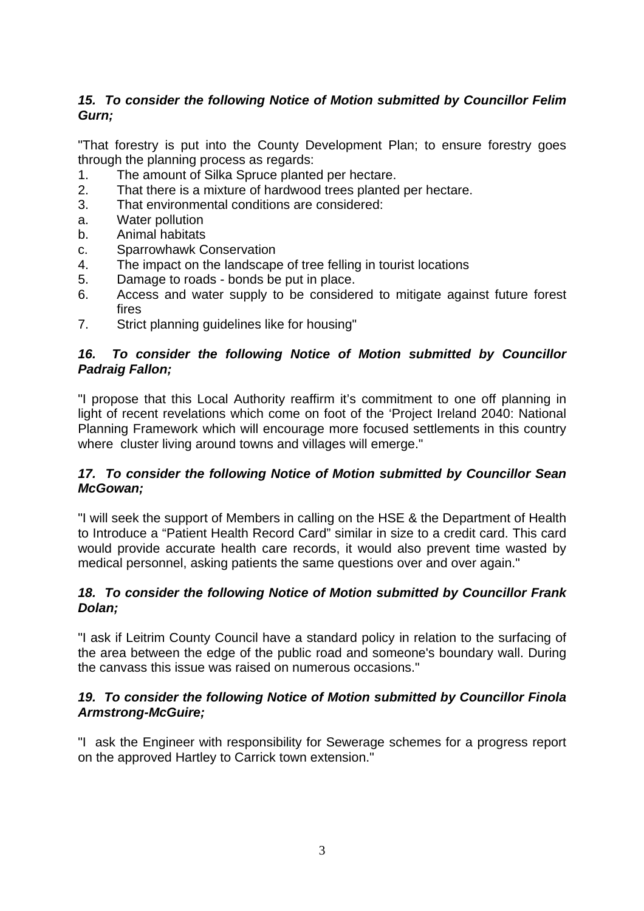# *15. To consider the following Notice of Motion submitted by Councillor Felim Gurn;*

"That forestry is put into the County Development Plan; to ensure forestry goes through the planning process as regards:

- 1. The amount of Silka Spruce planted per hectare.
- 2. That there is a mixture of hardwood trees planted per hectare.
- 3. That environmental conditions are considered:
- a. Water pollution
- b. Animal habitats
- c. Sparrowhawk Conservation
- 4. The impact on the landscape of tree felling in tourist locations
- 5. Damage to roads bonds be put in place.
- 6. Access and water supply to be considered to mitigate against future forest fires
- 7. Strict planning guidelines like for housing"

#### *16. To consider the following Notice of Motion submitted by Councillor Padraig Fallon;*

"I propose that this Local Authority reaffirm it's commitment to one off planning in light of recent revelations which come on foot of the 'Project Ireland 2040: National Planning Framework which will encourage more focused settlements in this country where cluster living around towns and villages will emerge."

#### *17. To consider the following Notice of Motion submitted by Councillor Sean McGowan;*

"I will seek the support of Members in calling on the HSE & the Department of Health to Introduce a "Patient Health Record Card" similar in size to a credit card. This card would provide accurate health care records, it would also prevent time wasted by medical personnel, asking patients the same questions over and over again."

#### *18. To consider the following Notice of Motion submitted by Councillor Frank Dolan;*

"I ask if Leitrim County Council have a standard policy in relation to the surfacing of the area between the edge of the public road and someone's boundary wall. During the canvass this issue was raised on numerous occasions."

#### *19. To consider the following Notice of Motion submitted by Councillor Finola Armstrong-McGuire;*

"I ask the Engineer with responsibility for Sewerage schemes for a progress report on the approved Hartley to Carrick town extension."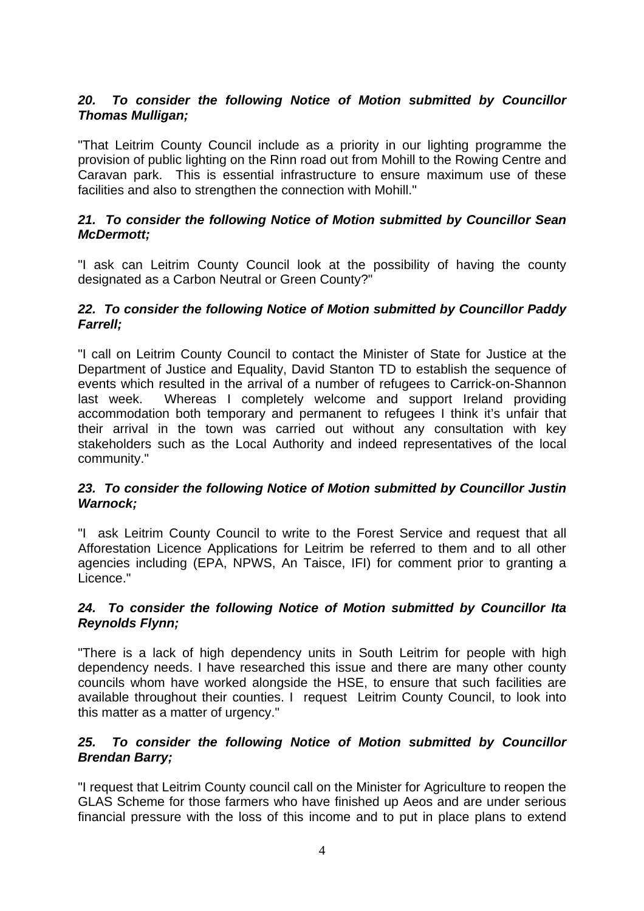### *20. To consider the following Notice of Motion submitted by Councillor Thomas Mulligan;*

"That Leitrim County Council include as a priority in our lighting programme the provision of public lighting on the Rinn road out from Mohill to the Rowing Centre and Caravan park. This is essential infrastructure to ensure maximum use of these facilities and also to strengthen the connection with Mohill."

#### *21. To consider the following Notice of Motion submitted by Councillor Sean McDermott;*

"I ask can Leitrim County Council look at the possibility of having the county designated as a Carbon Neutral or Green County?"

#### *22. To consider the following Notice of Motion submitted by Councillor Paddy Farrell;*

"I call on Leitrim County Council to contact the Minister of State for Justice at the Department of Justice and Equality, David Stanton TD to establish the sequence of events which resulted in the arrival of a number of refugees to Carrick-on-Shannon last week. Whereas I completely welcome and support Ireland providing accommodation both temporary and permanent to refugees I think it's unfair that their arrival in the town was carried out without any consultation with key stakeholders such as the Local Authority and indeed representatives of the local community."

#### *23. To consider the following Notice of Motion submitted by Councillor Justin Warnock;*

"I ask Leitrim County Council to write to the Forest Service and request that all Afforestation Licence Applications for Leitrim be referred to them and to all other agencies including (EPA, NPWS, An Taisce, IFI) for comment prior to granting a Licence."

#### *24. To consider the following Notice of Motion submitted by Councillor Ita Reynolds Flynn;*

"There is a lack of high dependency units in South Leitrim for people with high dependency needs. I have researched this issue and there are many other county councils whom have worked alongside the HSE, to ensure that such facilities are available throughout their counties. I request Leitrim County Council, to look into this matter as a matter of urgency."

#### *25. To consider the following Notice of Motion submitted by Councillor Brendan Barry;*

"I request that Leitrim County council call on the Minister for Agriculture to reopen the GLAS Scheme for those farmers who have finished up Aeos and are under serious financial pressure with the loss of this income and to put in place plans to extend